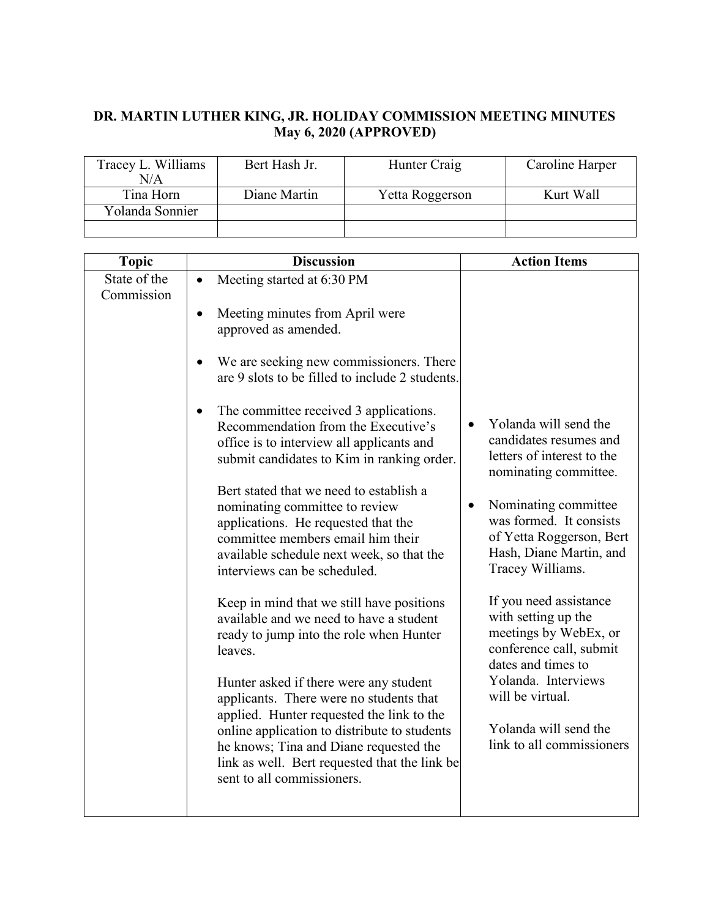## **DR. MARTIN LUTHER KING, JR. HOLIDAY COMMISSION MEETING MINUTES May 6, 2020 (APPROVED)**

| Tracey L. Williams<br>N/A | Bert Hash Jr. | Hunter Craig    | Caroline Harper |
|---------------------------|---------------|-----------------|-----------------|
| Tina Horn                 | Diane Martin  | Yetta Roggerson | Kurt Wall       |
| Yolanda Sonnier           |               |                 |                 |
|                           |               |                 |                 |

| <b>Topic</b>               | <b>Discussion</b>                                                                                                                                                                                                                                                                                                                                                                                                                                                                                                                                                                                                                                                                                                                                                                                                                                                                                                                                                                                                                                                                                     | <b>Action Items</b>                                                                                                                                                                                                                                                                                                                                                                                                                                                           |
|----------------------------|-------------------------------------------------------------------------------------------------------------------------------------------------------------------------------------------------------------------------------------------------------------------------------------------------------------------------------------------------------------------------------------------------------------------------------------------------------------------------------------------------------------------------------------------------------------------------------------------------------------------------------------------------------------------------------------------------------------------------------------------------------------------------------------------------------------------------------------------------------------------------------------------------------------------------------------------------------------------------------------------------------------------------------------------------------------------------------------------------------|-------------------------------------------------------------------------------------------------------------------------------------------------------------------------------------------------------------------------------------------------------------------------------------------------------------------------------------------------------------------------------------------------------------------------------------------------------------------------------|
| State of the<br>Commission | Meeting started at 6:30 PM<br>$\bullet$<br>Meeting minutes from April were<br>$\bullet$<br>approved as amended.<br>We are seeking new commissioners. There<br>are 9 slots to be filled to include 2 students.<br>The committee received 3 applications.<br>$\bullet$<br>Recommendation from the Executive's<br>office is to interview all applicants and<br>submit candidates to Kim in ranking order.<br>Bert stated that we need to establish a<br>nominating committee to review<br>applications. He requested that the<br>committee members email him their<br>available schedule next week, so that the<br>interviews can be scheduled.<br>Keep in mind that we still have positions<br>available and we need to have a student<br>ready to jump into the role when Hunter<br>leaves.<br>Hunter asked if there were any student<br>applicants. There were no students that<br>applied. Hunter requested the link to the<br>online application to distribute to students<br>he knows; Tina and Diane requested the<br>link as well. Bert requested that the link be<br>sent to all commissioners. | Yolanda will send the<br>candidates resumes and<br>letters of interest to the<br>nominating committee.<br>Nominating committee<br>$\bullet$<br>was formed. It consists<br>of Yetta Roggerson, Bert<br>Hash, Diane Martin, and<br>Tracey Williams.<br>If you need assistance<br>with setting up the<br>meetings by WebEx, or<br>conference call, submit<br>dates and times to<br>Yolanda. Interviews<br>will be virtual.<br>Yolanda will send the<br>link to all commissioners |
|                            |                                                                                                                                                                                                                                                                                                                                                                                                                                                                                                                                                                                                                                                                                                                                                                                                                                                                                                                                                                                                                                                                                                       |                                                                                                                                                                                                                                                                                                                                                                                                                                                                               |
|                            |                                                                                                                                                                                                                                                                                                                                                                                                                                                                                                                                                                                                                                                                                                                                                                                                                                                                                                                                                                                                                                                                                                       |                                                                                                                                                                                                                                                                                                                                                                                                                                                                               |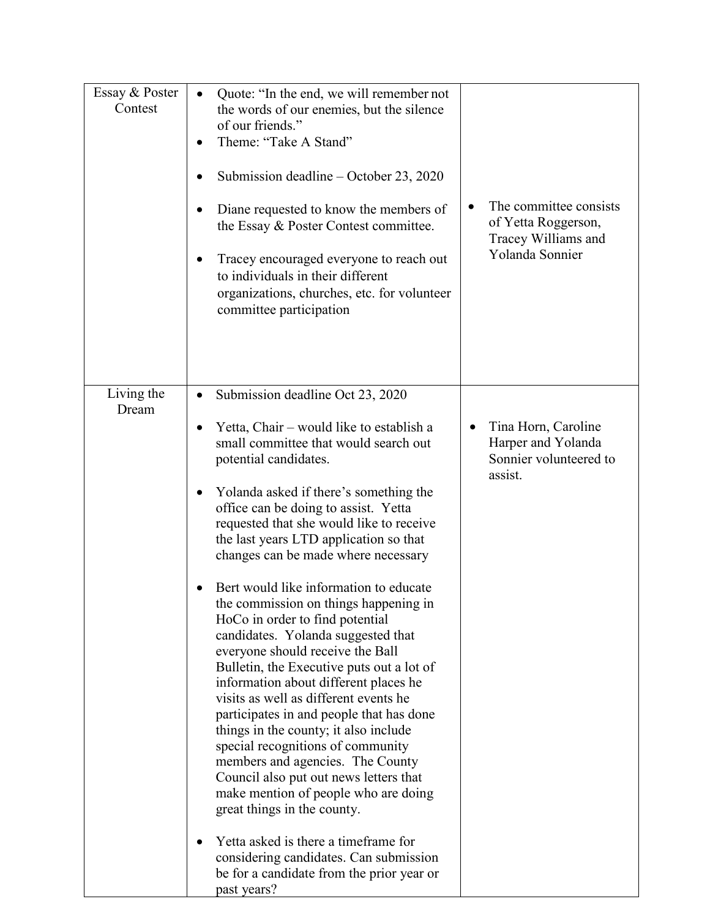| Essay & Poster<br>Contest | Quote: "In the end, we will remember not<br>$\bullet$<br>the words of our enemies, but the silence<br>of our friends."<br>Theme: "Take A Stand"<br>$\bullet$<br>Submission deadline – October 23, 2020<br>Diane requested to know the members of<br>the Essay & Poster Contest committee.<br>Tracey encouraged everyone to reach out<br>to individuals in their different<br>organizations, churches, etc. for volunteer<br>committee participation                                                                                                                                                                                                                                                                                                                                                                                                                                                                                                                                                                                                                                                                                    | The committee consists<br>of Yetta Roggerson,<br>Tracey Williams and<br>Yolanda Sonnier     |
|---------------------------|----------------------------------------------------------------------------------------------------------------------------------------------------------------------------------------------------------------------------------------------------------------------------------------------------------------------------------------------------------------------------------------------------------------------------------------------------------------------------------------------------------------------------------------------------------------------------------------------------------------------------------------------------------------------------------------------------------------------------------------------------------------------------------------------------------------------------------------------------------------------------------------------------------------------------------------------------------------------------------------------------------------------------------------------------------------------------------------------------------------------------------------|---------------------------------------------------------------------------------------------|
| Living the<br>Dream       | Submission deadline Oct 23, 2020<br>$\bullet$<br>Yetta, Chair – would like to establish a<br>small committee that would search out<br>potential candidates.<br>Yolanda asked if there's something the<br>office can be doing to assist. Yetta<br>requested that she would like to receive<br>the last years LTD application so that<br>changes can be made where necessary<br>Bert would like information to educate<br>the commission on things happening in<br>HoCo in order to find potential<br>candidates. Yolanda suggested that<br>everyone should receive the Ball<br>Bulletin, the Executive puts out a lot of<br>information about different places he<br>visits as well as different events he<br>participates in and people that has done<br>things in the county; it also include<br>special recognitions of community<br>members and agencies. The County<br>Council also put out news letters that<br>make mention of people who are doing<br>great things in the county.<br>Yetta asked is there a timeframe for<br>considering candidates. Can submission<br>be for a candidate from the prior year or<br>past years? | Tina Horn, Caroline<br>$\bullet$<br>Harper and Yolanda<br>Sonnier volunteered to<br>assist. |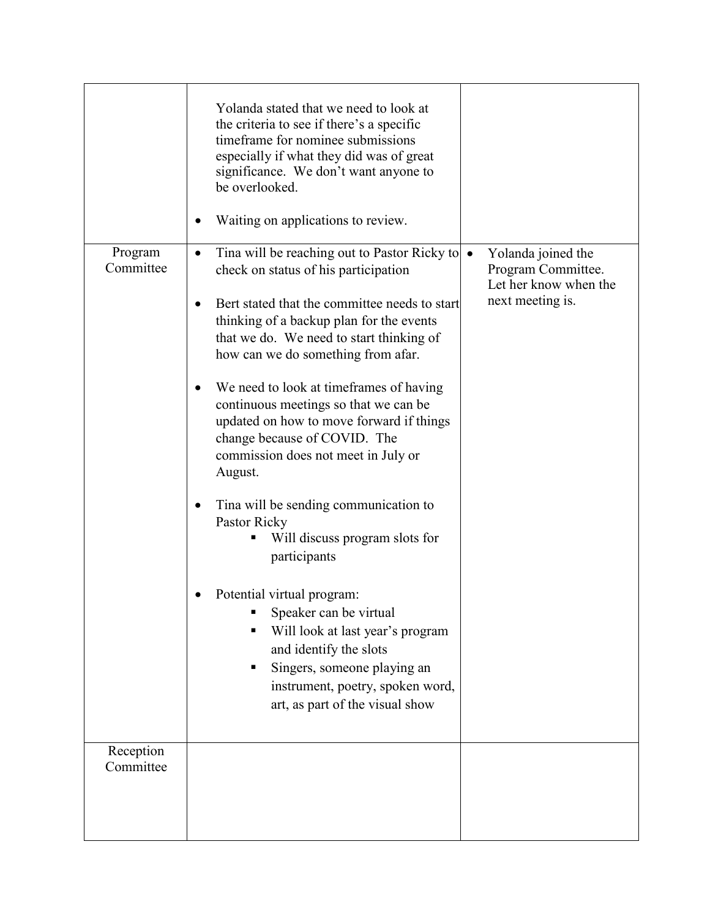|                        | Yolanda stated that we need to look at<br>the criteria to see if there's a specific<br>timeframe for nominee submissions<br>especially if what they did was of great<br>significance. We don't want anyone to<br>be overlooked.<br>Waiting on applications to review.                                                                                                                                                                                                                                                                                                                                                                                                                                                                                                                                                                                                                                                                                                   |
|------------------------|-------------------------------------------------------------------------------------------------------------------------------------------------------------------------------------------------------------------------------------------------------------------------------------------------------------------------------------------------------------------------------------------------------------------------------------------------------------------------------------------------------------------------------------------------------------------------------------------------------------------------------------------------------------------------------------------------------------------------------------------------------------------------------------------------------------------------------------------------------------------------------------------------------------------------------------------------------------------------|
| Program<br>Committee   | Yolanda joined the<br>Tina will be reaching out to Pastor Ricky to $\bullet$<br>$\bullet$<br>Program Committee.<br>check on status of his participation<br>Let her know when the<br>next meeting is.<br>Bert stated that the committee needs to start<br>$\bullet$<br>thinking of a backup plan for the events<br>that we do. We need to start thinking of<br>how can we do something from afar.<br>We need to look at time frames of having<br>$\bullet$<br>continuous meetings so that we can be<br>updated on how to move forward if things<br>change because of COVID. The<br>commission does not meet in July or<br>August.<br>Tina will be sending communication to<br>Pastor Ricky<br>Will discuss program slots for<br>participants<br>Potential virtual program:<br>Speaker can be virtual<br>Will look at last year's program<br>and identify the slots<br>Singers, someone playing an<br>instrument, poetry, spoken word,<br>art, as part of the visual show |
| Reception<br>Committee |                                                                                                                                                                                                                                                                                                                                                                                                                                                                                                                                                                                                                                                                                                                                                                                                                                                                                                                                                                         |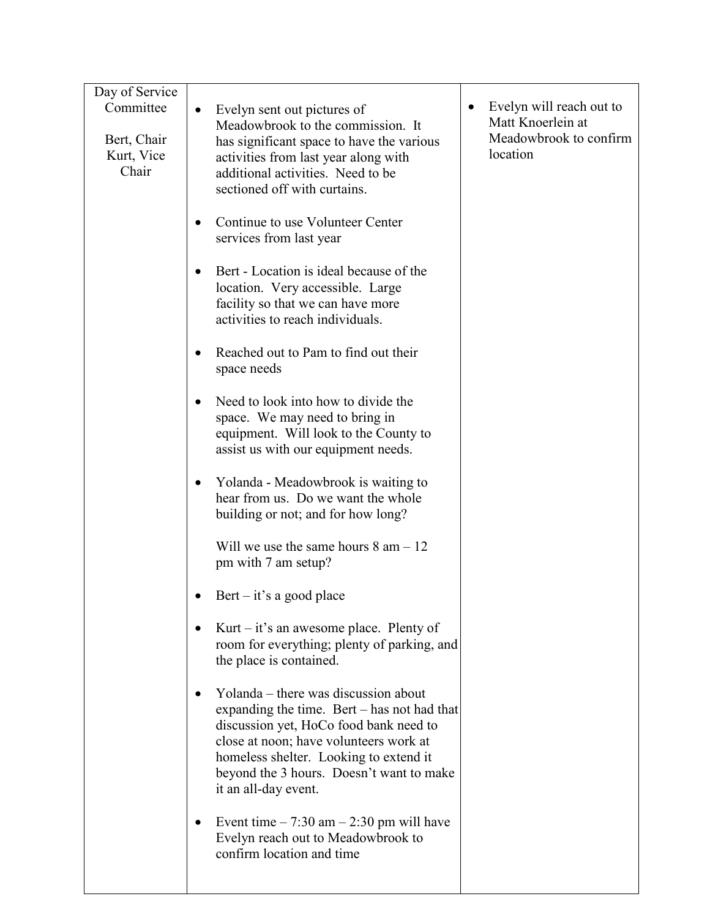| Day of Service                                  |                                                                                                                                                                                                                                                                                         |                                                                                                  |  |
|-------------------------------------------------|-----------------------------------------------------------------------------------------------------------------------------------------------------------------------------------------------------------------------------------------------------------------------------------------|--------------------------------------------------------------------------------------------------|--|
| Committee<br>Bert, Chair<br>Kurt, Vice<br>Chair | Evelyn sent out pictures of<br>$\bullet$<br>Meadowbrook to the commission. It<br>has significant space to have the various<br>activities from last year along with<br>additional activities. Need to be<br>sectioned off with curtains.                                                 | Evelyn will reach out to<br>$\bullet$<br>Matt Knoerlein at<br>Meadowbrook to confirm<br>location |  |
|                                                 | Continue to use Volunteer Center<br>$\bullet$<br>services from last year                                                                                                                                                                                                                |                                                                                                  |  |
|                                                 | Bert - Location is ideal because of the<br>$\bullet$<br>location. Very accessible. Large<br>facility so that we can have more<br>activities to reach individuals.                                                                                                                       |                                                                                                  |  |
|                                                 | Reached out to Pam to find out their<br>$\bullet$<br>space needs                                                                                                                                                                                                                        |                                                                                                  |  |
|                                                 | Need to look into how to divide the<br>$\bullet$<br>space. We may need to bring in<br>equipment. Will look to the County to<br>assist us with our equipment needs.                                                                                                                      |                                                                                                  |  |
|                                                 | Yolanda - Meadowbrook is waiting to<br>$\bullet$<br>hear from us. Do we want the whole<br>building or not; and for how long?                                                                                                                                                            |                                                                                                  |  |
|                                                 | Will we use the same hours $8 \text{ am} - 12$<br>pm with 7 am setup?                                                                                                                                                                                                                   |                                                                                                  |  |
|                                                 | $\text{Bert} - \text{it's a good place}$                                                                                                                                                                                                                                                |                                                                                                  |  |
|                                                 | Kurt – it's an awesome place. Plenty of<br>$\bullet$<br>room for everything; plenty of parking, and<br>the place is contained.                                                                                                                                                          |                                                                                                  |  |
|                                                 | Yolanda – there was discussion about<br>expanding the time. Bert $-$ has not had that<br>discussion yet, HoCo food bank need to<br>close at noon; have volunteers work at<br>homeless shelter. Looking to extend it<br>beyond the 3 hours. Doesn't want to make<br>it an all-day event. |                                                                                                  |  |
|                                                 | Event time $-7:30$ am $-2:30$ pm will have<br>$\bullet$<br>Evelyn reach out to Meadowbrook to<br>confirm location and time                                                                                                                                                              |                                                                                                  |  |
|                                                 |                                                                                                                                                                                                                                                                                         |                                                                                                  |  |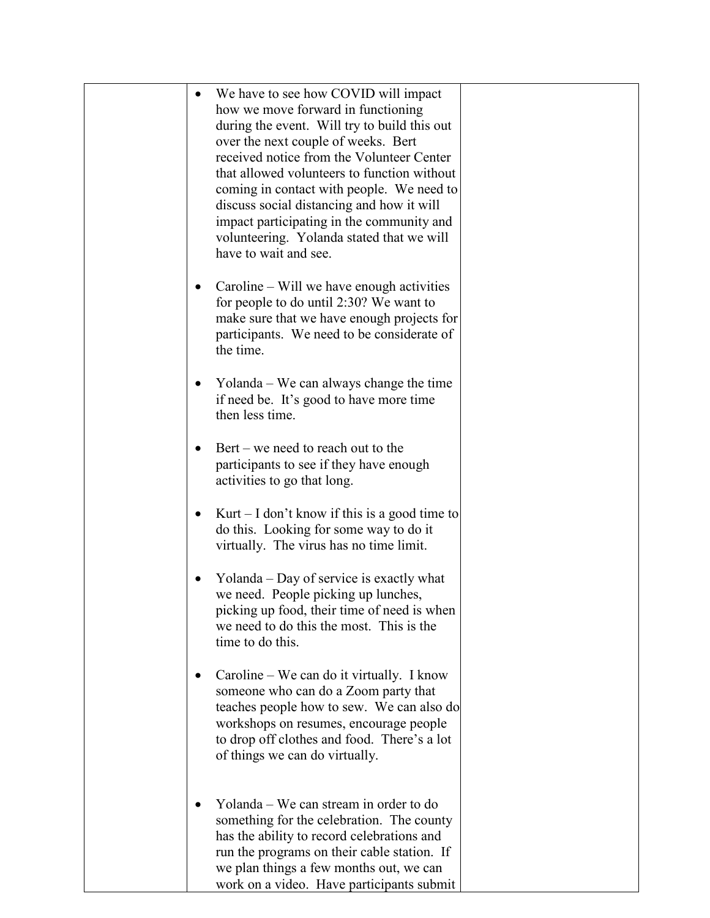| We have to see how COVID will impact<br>how we move forward in functioning<br>during the event. Will try to build this out<br>over the next couple of weeks. Bert<br>received notice from the Volunteer Center<br>that allowed volunteers to function without<br>coming in contact with people. We need to<br>discuss social distancing and how it will<br>impact participating in the community and<br>volunteering. Yolanda stated that we will<br>have to wait and see. |
|----------------------------------------------------------------------------------------------------------------------------------------------------------------------------------------------------------------------------------------------------------------------------------------------------------------------------------------------------------------------------------------------------------------------------------------------------------------------------|
| Caroline – Will we have enough activities<br>for people to do until 2:30? We want to<br>make sure that we have enough projects for<br>participants. We need to be considerate of<br>the time.                                                                                                                                                                                                                                                                              |
| Yolanda – We can always change the time<br>if need be. It's good to have more time<br>then less time.                                                                                                                                                                                                                                                                                                                                                                      |
| $\text{Ber}t - \text{we need to reach out to the}$<br>participants to see if they have enough<br>activities to go that long.                                                                                                                                                                                                                                                                                                                                               |
| Kurt – I don't know if this is a good time to<br>do this. Looking for some way to do it<br>virtually. The virus has no time limit.                                                                                                                                                                                                                                                                                                                                         |
| Yolanda – Day of service is exactly what<br>we need. People picking up lunches,<br>picking up food, their time of need is when<br>we need to do this the most. This is the<br>time to do this.                                                                                                                                                                                                                                                                             |
| Caroline – We can do it virtually. I know<br>someone who can do a Zoom party that<br>teaches people how to sew. We can also do<br>workshops on resumes, encourage people<br>to drop off clothes and food. There's a lot<br>of things we can do virtually.                                                                                                                                                                                                                  |
| Yolanda – We can stream in order to do<br>something for the celebration. The county<br>has the ability to record celebrations and<br>run the programs on their cable station. If<br>we plan things a few months out, we can<br>work on a video. Have participants submit                                                                                                                                                                                                   |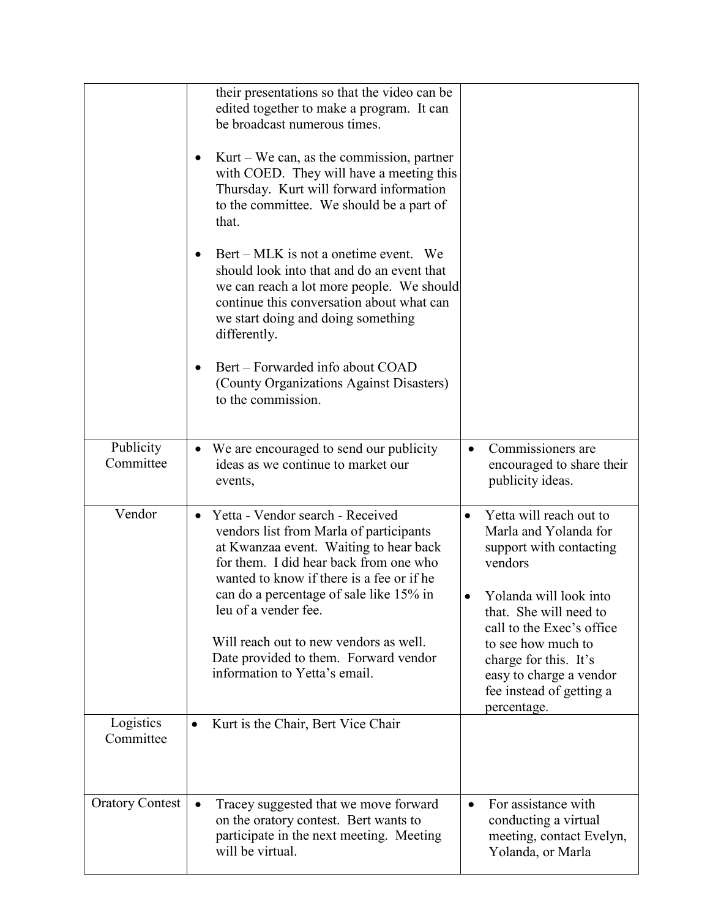|                        |           | their presentations so that the video can be<br>edited together to make a program. It can<br>be broadcast numerous times.<br>$Kurt - We can, as the commission, partner$<br>with COED. They will have a meeting this<br>Thursday. Kurt will forward information<br>to the committee. We should be a part of<br>that.<br>Bert – MLK is not a onetime event. We<br>should look into that and do an event that<br>we can reach a lot more people. We should<br>continue this conversation about what can<br>we start doing and doing something<br>differently.<br>Bert – Forwarded info about COAD<br>(County Organizations Against Disasters)<br>to the commission. |           |                                                                                                                                                                                                                                                                                              |
|------------------------|-----------|-------------------------------------------------------------------------------------------------------------------------------------------------------------------------------------------------------------------------------------------------------------------------------------------------------------------------------------------------------------------------------------------------------------------------------------------------------------------------------------------------------------------------------------------------------------------------------------------------------------------------------------------------------------------|-----------|----------------------------------------------------------------------------------------------------------------------------------------------------------------------------------------------------------------------------------------------------------------------------------------------|
| Publicity<br>Committee | $\bullet$ | We are encouraged to send our publicity<br>ideas as we continue to market our<br>events,                                                                                                                                                                                                                                                                                                                                                                                                                                                                                                                                                                          | $\bullet$ | Commissioners are<br>encouraged to share their<br>publicity ideas.                                                                                                                                                                                                                           |
| Vendor                 | $\bullet$ | Yetta - Vendor search - Received<br>vendors list from Marla of participants<br>at Kwanzaa event. Waiting to hear back<br>for them. I did hear back from one who<br>wanted to know if there is a fee or if he<br>can do a percentage of sale like 15% in<br>leu of a vender fee.<br>Will reach out to new vendors as well.<br>Date provided to them. Forward vendor<br>information to Yetta's email.                                                                                                                                                                                                                                                               | $\bullet$ | Yetta will reach out to<br>Marla and Yolanda for<br>support with contacting<br>vendors<br>Yolanda will look into<br>that. She will need to<br>call to the Exec's office<br>to see how much to<br>charge for this. It's<br>easy to charge a vendor<br>fee instead of getting a<br>percentage. |
| Logistics<br>Committee | $\bullet$ | Kurt is the Chair, Bert Vice Chair                                                                                                                                                                                                                                                                                                                                                                                                                                                                                                                                                                                                                                |           |                                                                                                                                                                                                                                                                                              |
| <b>Oratory Contest</b> | $\bullet$ | Tracey suggested that we move forward<br>on the oratory contest. Bert wants to<br>participate in the next meeting. Meeting<br>will be virtual.                                                                                                                                                                                                                                                                                                                                                                                                                                                                                                                    | $\bullet$ | For assistance with<br>conducting a virtual<br>meeting, contact Evelyn,<br>Yolanda, or Marla                                                                                                                                                                                                 |